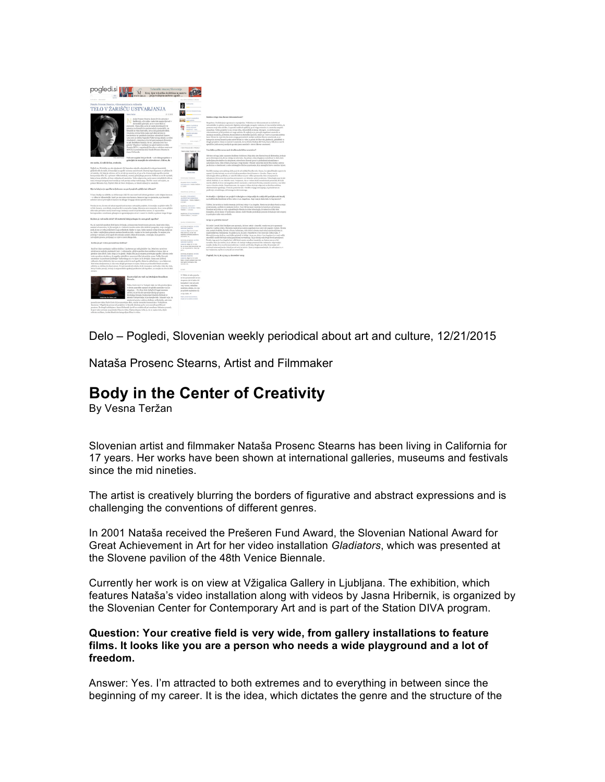

Delo – Pogledi, Slovenian weekly periodical about art and culture, 12/21/2015

Nataša Prosenc Stearns, Artist and Filmmaker

# **Body in the Center of Creativity**

By Vesna Teržan

Slovenian artist and filmmaker Nataša Prosenc Stearns has been living in California for 17 years. Her works have been shown at international galleries, museums and festivals since the mid nineties.

The artist is creatively blurring the borders of figurative and abstract expressions and is challenging the conventions of different genres.

In 2001 Nataša received the Prešeren Fund Award, the Slovenian National Award for Great Achievement in Art for her video installation *Gladiators*, which was presented at the Slovene pavilion of the 48th Venice Biennale.

Currently her work is on view at Vžigalica Gallery in Ljubljana. The exhibition, which features Nataša's video installation along with videos by Jasna Hribernik, is organized by the Slovenian Center for Contemporary Art and is part of the Station DIVA program.

**Question: Your creative field is very wide, from gallery installations to feature films. It looks like you are a person who needs a wide playground and a lot of freedom.**

Answer: Yes. I'm attracted to both extremes and to everything in between since the beginning of my career. It is the idea, which dictates the genre and the structure of the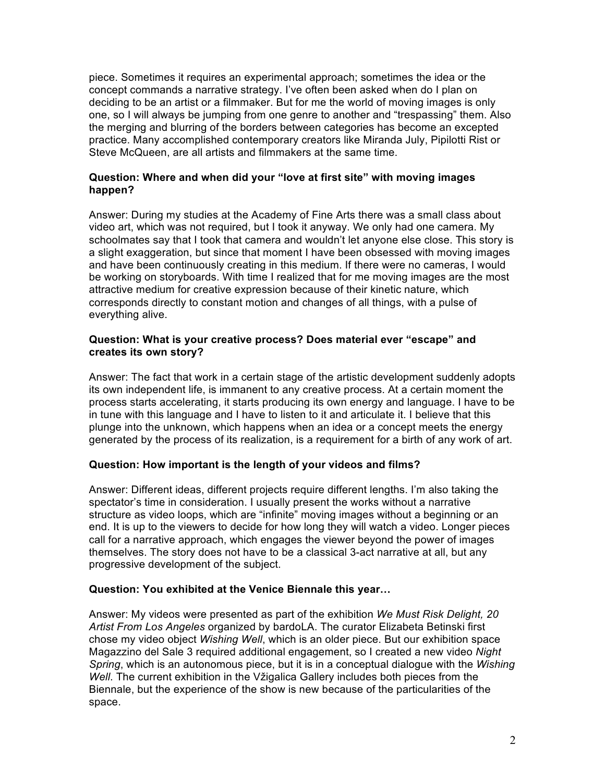piece. Sometimes it requires an experimental approach; sometimes the idea or the concept commands a narrative strategy. I've often been asked when do I plan on deciding to be an artist or a filmmaker. But for me the world of moving images is only one, so I will always be jumping from one genre to another and "trespassing" them. Also the merging and blurring of the borders between categories has become an excepted practice. Many accomplished contemporary creators like Miranda July, Pipilotti Rist or Steve McQueen, are all artists and filmmakers at the same time.

## **Question: Where and when did your "love at first site" with moving images happen?**

Answer: During my studies at the Academy of Fine Arts there was a small class about video art, which was not required, but I took it anyway. We only had one camera. My schoolmates say that I took that camera and wouldn't let anyone else close. This story is a slight exaggeration, but since that moment I have been obsessed with moving images and have been continuously creating in this medium. If there were no cameras, I would be working on storyboards. With time I realized that for me moving images are the most attractive medium for creative expression because of their kinetic nature, which corresponds directly to constant motion and changes of all things, with a pulse of everything alive.

## **Question: What is your creative process? Does material ever "escape" and creates its own story?**

Answer: The fact that work in a certain stage of the artistic development suddenly adopts its own independent life, is immanent to any creative process. At a certain moment the process starts accelerating, it starts producing its own energy and language. I have to be in tune with this language and I have to listen to it and articulate it. I believe that this plunge into the unknown, which happens when an idea or a concept meets the energy generated by the process of its realization, is a requirement for a birth of any work of art.

# **Question: How important is the length of your videos and films?**

Answer: Different ideas, different projects require different lengths. I'm also taking the spectator's time in consideration. I usually present the works without a narrative structure as video loops, which are "infinite" moving images without a beginning or an end. It is up to the viewers to decide for how long they will watch a video. Longer pieces call for a narrative approach, which engages the viewer beyond the power of images themselves. The story does not have to be a classical 3-act narrative at all, but any progressive development of the subject.

# **Question: You exhibited at the Venice Biennale this year…**

Answer: My videos were presented as part of the exhibition *We Must Risk Delight, 20 Artist From Los Angeles* organized by bardoLA. The curator Elizabeta Betinski first chose my video object *Wishing Well*, which is an older piece. But our exhibition space Magazzino del Sale 3 required additional engagement, so I created a new video *Night Spring*, which is an autonomous piece, but it is in a conceptual dialogue with the *Wishing Well*. The current exhibition in the Vžigalica Gallery includes both pieces from the Biennale, but the experience of the show is new because of the particularities of the space.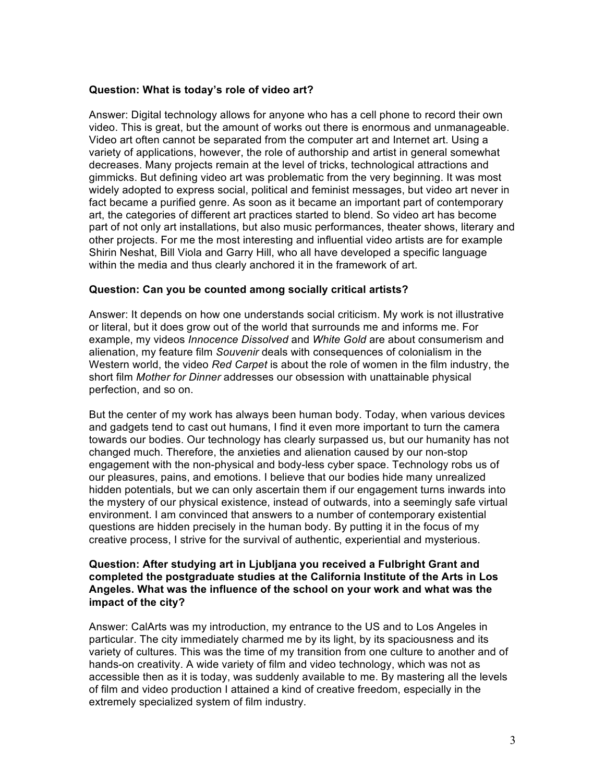### **Question: What is today's role of video art?**

Answer: Digital technology allows for anyone who has a cell phone to record their own video. This is great, but the amount of works out there is enormous and unmanageable. Video art often cannot be separated from the computer art and Internet art. Using a variety of applications, however, the role of authorship and artist in general somewhat decreases. Many projects remain at the level of tricks, technological attractions and gimmicks. But defining video art was problematic from the very beginning. It was most widely adopted to express social, political and feminist messages, but video art never in fact became a purified genre. As soon as it became an important part of contemporary art, the categories of different art practices started to blend. So video art has become part of not only art installations, but also music performances, theater shows, literary and other projects. For me the most interesting and influential video artists are for example Shirin Neshat, Bill Viola and Garry Hill, who all have developed a specific language within the media and thus clearly anchored it in the framework of art.

## **Question: Can you be counted among socially critical artists?**

Answer: It depends on how one understands social criticism. My work is not illustrative or literal, but it does grow out of the world that surrounds me and informs me. For example, my videos *Innocence Dissolved* and *White Gold* are about consumerism and alienation, my feature film *Souvenir* deals with consequences of colonialism in the Western world, the video *Red Carpet* is about the role of women in the film industry, the short film *Mother for Dinner* addresses our obsession with unattainable physical perfection, and so on.

But the center of my work has always been human body. Today, when various devices and gadgets tend to cast out humans, I find it even more important to turn the camera towards our bodies. Our technology has clearly surpassed us, but our humanity has not changed much. Therefore, the anxieties and alienation caused by our non-stop engagement with the non-physical and body-less cyber space. Technology robs us of our pleasures, pains, and emotions. I believe that our bodies hide many unrealized hidden potentials, but we can only ascertain them if our engagement turns inwards into the mystery of our physical existence, instead of outwards, into a seemingly safe virtual environment. I am convinced that answers to a number of contemporary existential questions are hidden precisely in the human body. By putting it in the focus of my creative process, I strive for the survival of authentic, experiential and mysterious.

### **Question: After studying art in Ljubljana you received a Fulbright Grant and completed the postgraduate studies at the California Institute of the Arts in Los Angeles. What was the influence of the school on your work and what was the impact of the city?**

Answer: CalArts was my introduction, my entrance to the US and to Los Angeles in particular. The city immediately charmed me by its light, by its spaciousness and its variety of cultures. This was the time of my transition from one culture to another and of hands-on creativity. A wide variety of film and video technology, which was not as accessible then as it is today, was suddenly available to me. By mastering all the levels of film and video production I attained a kind of creative freedom, especially in the extremely specialized system of film industry.